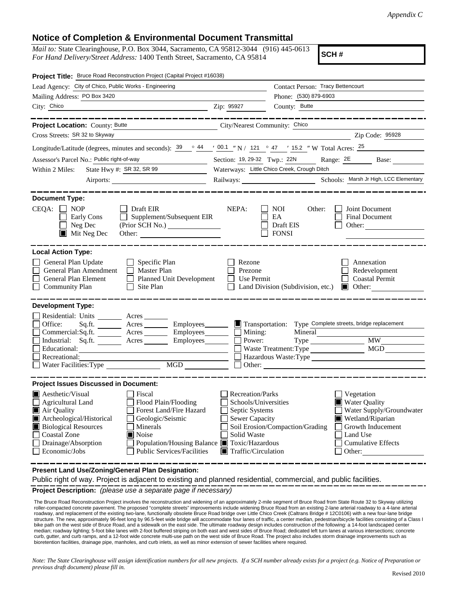## **Notice of Completion & Environmental Document Transmittal**

*Mail to:* State Clearinghouse, P.O. Box 3044, Sacramento, CA 95812-3044 (916) 445-0613 *For Hand Delivery/Street Address:* 1400 Tenth Street, Sacramento, CA 95814

**SCH #**

| Project Title: Bruce Road Reconstruction Project (Capital Project #16038)                                                                                                                                                                                                                                                                                                                     |                                                                                                                           |                                                                                                                                                                                        |  |
|-----------------------------------------------------------------------------------------------------------------------------------------------------------------------------------------------------------------------------------------------------------------------------------------------------------------------------------------------------------------------------------------------|---------------------------------------------------------------------------------------------------------------------------|----------------------------------------------------------------------------------------------------------------------------------------------------------------------------------------|--|
| Lead Agency: City of Chico, Public Works - Engineering                                                                                                                                                                                                                                                                                                                                        |                                                                                                                           | Contact Person: Tracy Bettencourt                                                                                                                                                      |  |
| Mailing Address: PO Box 3420                                                                                                                                                                                                                                                                                                                                                                  |                                                                                                                           | Phone: (530) 879-6903                                                                                                                                                                  |  |
| City: Chico<br><u> 1989 - Johann Barn, mars ann an t-Amhain ann an t-Amhain an t-Amhain an t-Amhain an t-Amhain an t-Amhain an t-</u>                                                                                                                                                                                                                                                         | Zip: 95927                                                                                                                | County: Butte                                                                                                                                                                          |  |
|                                                                                                                                                                                                                                                                                                                                                                                               |                                                                                                                           |                                                                                                                                                                                        |  |
| Project Location: County: Butte<br>City/Nearest Community: Chico                                                                                                                                                                                                                                                                                                                              |                                                                                                                           |                                                                                                                                                                                        |  |
| Cross Streets: SR 32 to Skyway                                                                                                                                                                                                                                                                                                                                                                |                                                                                                                           | Zip Code: 95928                                                                                                                                                                        |  |
| Longitude/Latitude (degrees, minutes and seconds): $\frac{39}{9}$ $\frac{44}{9}$ $\frac{1}{20.1}$ $\frac{1}{21}$ $\frac{1}{21}$ $\frac{1}{21}$ $\frac{1}{21}$ $\frac{1}{21}$ $\frac{1}{21}$ $\frac{1}{21}$ $\frac{1}{21}$ $\frac{1}{21}$ $\frac{1}{21}$ $\frac{1}{21}$ $\frac{1}{21}$ $\frac$                                                                                                 |                                                                                                                           |                                                                                                                                                                                        |  |
| Assessor's Parcel No.: Public right-of-way                                                                                                                                                                                                                                                                                                                                                    | Section: 19, 29-32 Twp.: 22N Range: 2E Base:                                                                              |                                                                                                                                                                                        |  |
| State Hwy #: SR 32, SR 99<br>Within 2 Miles:<br><u> 1990 - Jan Barbara III, politik politik (</u>                                                                                                                                                                                                                                                                                             | Waterways: Little Chico Creek, Crough Ditch                                                                               |                                                                                                                                                                                        |  |
|                                                                                                                                                                                                                                                                                                                                                                                               |                                                                                                                           |                                                                                                                                                                                        |  |
|                                                                                                                                                                                                                                                                                                                                                                                               |                                                                                                                           |                                                                                                                                                                                        |  |
| <b>Document Type:</b><br>$CEQA: \Box NP$<br>Draft EIR<br>Supplement/Subsequent EIR<br>Early Cons<br>Neg Dec<br>(Prior SCH No.)<br>$\blacksquare$ Mit Neg Dec                                                                                                                                                                                                                                  | NEPA:                                                                                                                     | <b>NOI</b><br>Other:<br>Joint Document<br>EA<br><b>Final Document</b><br>Draft EIS<br>Other: $\qquad \qquad$<br><b>FONSI</b>                                                           |  |
| <b>Local Action Type:</b>                                                                                                                                                                                                                                                                                                                                                                     |                                                                                                                           |                                                                                                                                                                                        |  |
| General Plan Update<br>$\Box$ Specific Plan<br>General Plan Amendment<br>$\Box$ Master Plan<br>Planned Unit Development<br>General Plan Element<br><b>Community Plan</b><br>$\Box$ Site Plan                                                                                                                                                                                                  | Rezone<br>Prezone<br><b>Use Permit</b>                                                                                    | Annexation<br>Redevelopment<br><b>Coastal Permit</b><br>Land Division (Subdivision, etc.)<br>Other: $\qquad \qquad$                                                                    |  |
| <b>Development Type:</b><br>Residential: Units ________ Acres _______                                                                                                                                                                                                                                                                                                                         |                                                                                                                           |                                                                                                                                                                                        |  |
| Office:<br>Sq.ft.<br>$Commercial:Sq.fit.$ Acres $\_\_\_\_\$ Employees $\_\_\_\_\$ Mining:                                                                                                                                                                                                                                                                                                     |                                                                                                                           | Acres Employees Figure 1 Transportation: Type Complete streets, bridge replacement<br>Mineral                                                                                          |  |
| Industrial: Sq.ft. _______ Acres ________ Employees_______                                                                                                                                                                                                                                                                                                                                    | Power:                                                                                                                    |                                                                                                                                                                                        |  |
| Educational:                                                                                                                                                                                                                                                                                                                                                                                  |                                                                                                                           | MGD<br>Waste Treatment: Type                                                                                                                                                           |  |
| Recreational:                                                                                                                                                                                                                                                                                                                                                                                 |                                                                                                                           |                                                                                                                                                                                        |  |
| MGD<br>Water Facilities: Type                                                                                                                                                                                                                                                                                                                                                                 |                                                                                                                           |                                                                                                                                                                                        |  |
| <b>Project Issues Discussed in Document:</b>                                                                                                                                                                                                                                                                                                                                                  |                                                                                                                           |                                                                                                                                                                                        |  |
| Aesthetic/Visual<br>Fiscal<br>Flood Plain/Flooding<br><b>Agricultural Land</b><br>Forest Land/Fire Hazard<br>Air Quality<br>Archeological/Historical<br>Geologic/Seismic<br><b>Biological Resources</b><br>Minerals<br><b>Coastal Zone</b><br>$\blacksquare$ Noise<br>Drainage/Absorption<br>Population/Housing Balance Toxic/Hazardous<br>Economic/Jobs<br><b>Public Services/Facilities</b> | Recreation/Parks<br>Schools/Universities<br>Septic Systems<br><b>Sewer Capacity</b><br>Solid Waste<br>Traffic/Circulation | Vegetation<br>Water Quality<br>Water Supply/Groundwater<br>Wetland/Riparian<br>Soil Erosion/Compaction/Grading<br>Growth Inducement<br>Land Use<br><b>Cumulative Effects</b><br>Other: |  |

**Present Land Use/Zoning/General Plan Designation:**

Public right of way. Project is adjacent to existing and planned residential, commercial, and public facilities.

**Project Description:** *(please use a separate page if necessary)*

 The Bruce Road Reconstruction Project involves the reconstruction and widening of an approximately 2-mile segment of Bruce Road from State Route 32 to Skyway utilizing roller-compacted concrete pavement. The proposed "complete streets" improvements include widening Bruce Road from an existing 2-lane arterial roadway to a 4-lane arterial<br>roadway, and replacement of the existing two-lane, structure. The new, approximately 96-feet long by 96.5-feet wide bridge will accommodate four lanes of traffic, a center median, pedestrian/bicycle facilities consisting of a Class I bike path on the west side of Bruce Road, and a sidewalk on the east side. The ultimate roadway design includes construction of the following: a 14-foot landscaped center median; roadway lighting; 5-foot bike lanes with 2-foot buffered striping on both east and west sides of Bruce Road; dedicated left turn lanes at various intersections; concrete curb, gutter, and curb ramps, and a 12-foot wide concrete multi-use path on the west side of Bruce Road. The project also includes storm drainage improvements such as bioretention facilities, drainage pipe, manholes, and curb inlets, as well as minor extension of sewer facilities where required.

*Note: The State Clearinghouse will assign identification numbers for all new projects. If a SCH number already exists for a project (e.g. Notice of Preparation or previous draft document) please fill in.*